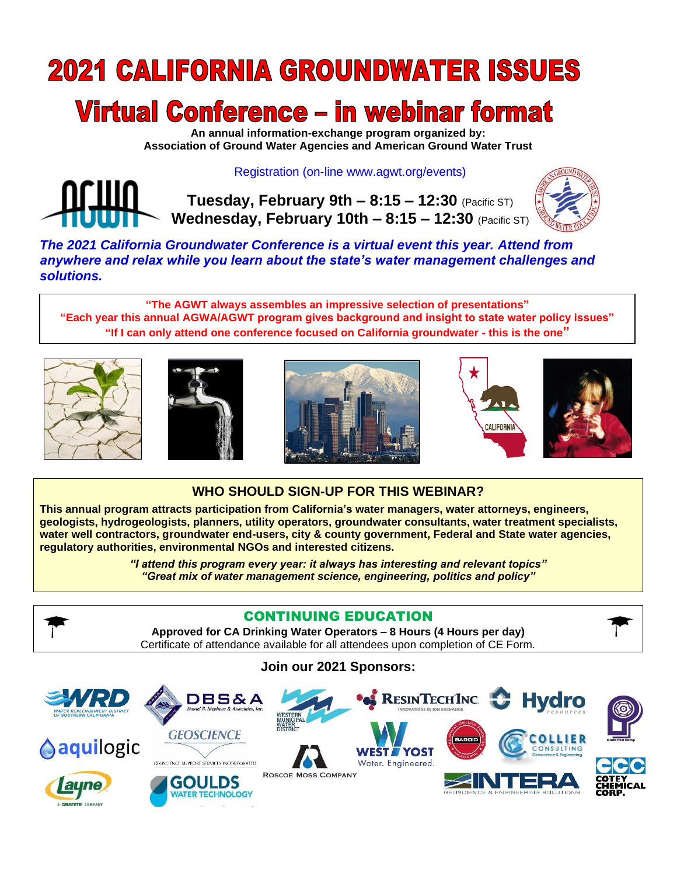# **2021 CALIFORNIA GROUNDWATER ISSUES**

# Virtual Conference – in webinar format

**An annual information-exchange program organized by: Association of Ground Water Agencies and American Ground Water Trust**

### Registration (on-line www.agwt.org/events)

**Tuesday, February 9th – 8:15 – 12:30** (Pacific ST) **Wednesday, February 10th – 8:15 – 12:30** (Pacific ST)



*The 2021 California Groundwater Conference is a virtual event this year. Attend from anywhere and relax while you learn about the state's water management challenges and solutions.*

**"The AGWT always assembles an impressive selection of presentations" "Each year this annual AGWA/AGWT program gives background and insight to state water policy issues" "If I can only attend one conference focused on California groundwater - this is the one"**











## **WHO SHOULD SIGN-UP FOR THIS WEBINAR?**

**This annual program attracts participation from California's water managers, water attorneys, engineers, geologists, hydrogeologists, planners, utility operators, groundwater consultants, water treatment specialists, water well contractors, groundwater end-users, city & county government, Federal and State water agencies, regulatory authorities, environmental NGOs and interested citizens.**

> *"I attend this program every year: it always has interesting and relevant topics" "Great mix of water management science, engineering, politics and policy"*



### CONTINUING EDUCATION

**Approved for CA Drinking Water Operators – 8 Hours (4 Hours per day)** Certificate of attendance available for all attendees upon completion of CE Form.



**Join our 2021 Sponsors:**

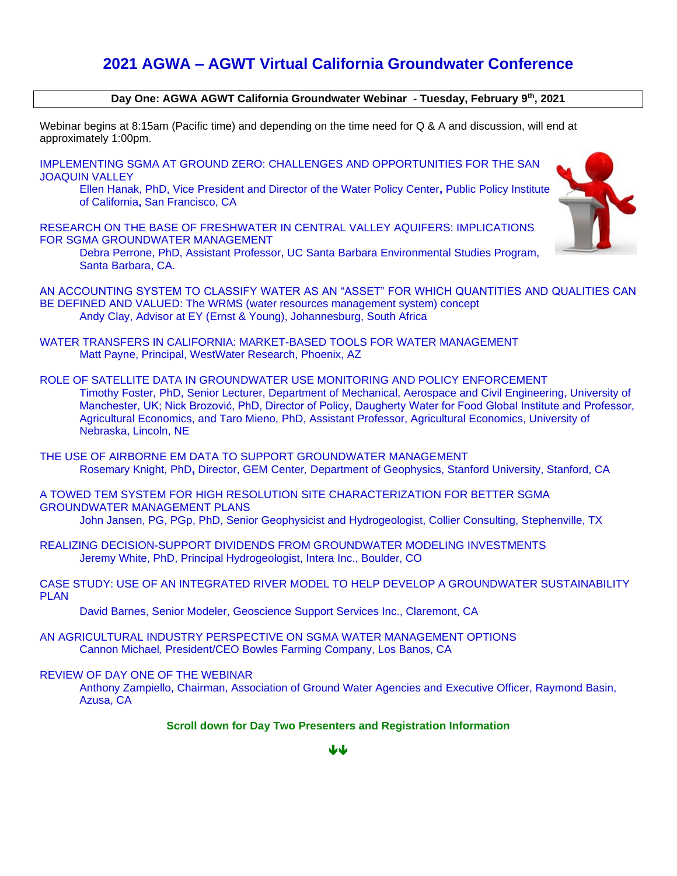## **2021 AGWA – AGWT Virtual California Groundwater Conference**

#### **Day One: AGWA AGWT California Groundwater Webinar - Tuesday, February 9th, 2021**

Webinar begins at 8:15am (Pacific time) and depending on the time need for Q & A and discussion, will end at approximately 1:00pm.

IMPLEMENTING SGMA AT GROUND ZERO: CHALLENGES AND OPPORTUNITIES FOR THE SAN JOAQUIN VALLEY

Ellen Hanak, PhD, Vice President and Director of the Water Policy Center**,** Public Policy Institute of California**,** San Francisco, CA

RESEARCH ON THE BASE OF FRESHWATER IN CENTRAL VALLEY AQUIFERS: IMPLICATIONS FOR SGMA GROUNDWATER MANAGEMENT

Debra Perrone, PhD, Assistant Professor, UC Santa Barbara Environmental Studies Program, Santa Barbara, CA.



AN ACCOUNTING SYSTEM TO CLASSIFY WATER AS AN "ASSET" FOR WHICH QUANTITIES AND QUALITIES CAN BE DEFINED AND VALUED: The WRMS (water resources management system) concept Andy Clay, Advisor at EY (Ernst & Young), Johannesburg, South Africa

- WATER TRANSFERS IN CALIFORNIA: MARKET-BASED TOOLS FOR WATER MANAGEMENT Matt Payne, Principal, WestWater Research, Phoenix, AZ
- ROLE OF SATELLITE DATA IN GROUNDWATER USE MONITORING AND POLICY ENFORCEMENT Timothy Foster, PhD, Senior Lecturer, Department of Mechanical, Aerospace and Civil Engineering, University of Manchester, UK; Nick Brozović, PhD, Director of Policy, Daugherty Water for Food Global Institute and Professor, Agricultural Economics, and Taro Mieno, PhD, Assistant Professor, Agricultural Economics, University of Nebraska, Lincoln, NE

THE USE OF AIRBORNE EM DATA TO SUPPORT GROUNDWATER MANAGEMENT Rosemary Knight, PhD**,** Director, GEM Center*,* Department of Geophysics, Stanford University, Stanford, CA

A TOWED TEM SYSTEM FOR HIGH RESOLUTION SITE CHARACTERIZATION FOR BETTER SGMA GROUNDWATER MANAGEMENT PLANS John Jansen, PG, PGp, PhD, Senior Geophysicist and Hydrogeologist, Collier Consulting, Stephenville, TX

REALIZING DECISION-SUPPORT DIVIDENDS FROM GROUNDWATER MODELING INVESTMENTS Jeremy White, PhD, Principal Hydrogeologist, Intera Inc., Boulder, CO

CASE STUDY: USE OF AN INTEGRATED RIVER MODEL TO HELP DEVELOP A GROUNDWATER SUSTAINABILITY PLAN

David Barnes, Senior Modeler, Geoscience Support Services Inc., Claremont, CA

AN AGRICULTURAL INDUSTRY PERSPECTIVE ON SGMA WATER MANAGEMENT OPTIONS Cannon Michael*,* President/CEO Bowles Farming Company, Los Banos, CA

#### REVIEW OF DAY ONE OF THE WEBINAR

Anthony Zampiello, Chairman, Association of Ground Water Agencies and Executive Officer, Raymond Basin, Azusa, CA

#### **Scroll down for Day Two Presenters and Registration Information**

₩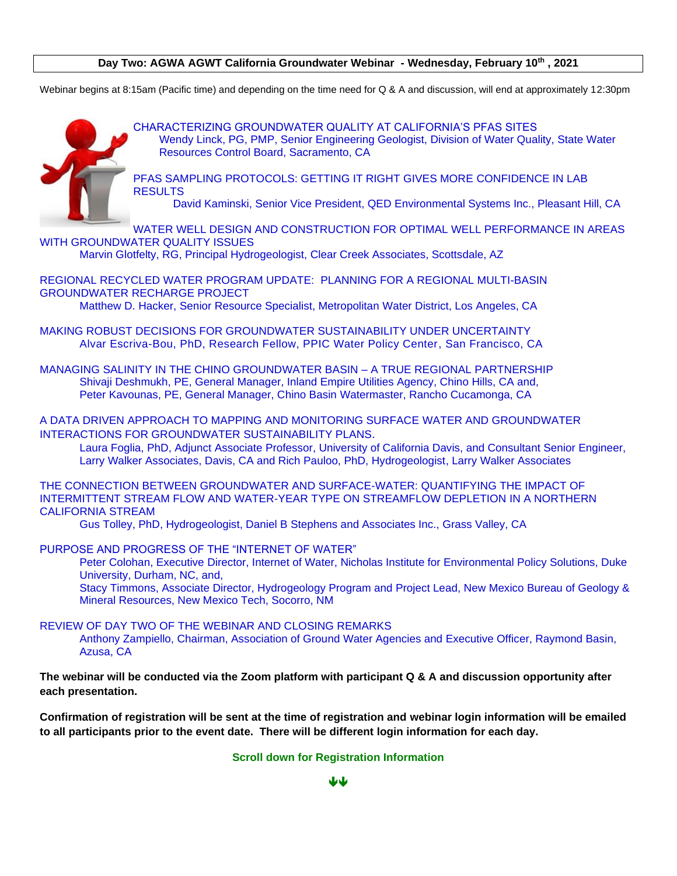#### **Day Two: AGWA AGWT California Groundwater Webinar - Wednesday, February 10th , 2021**

Webinar begins at 8:15am (Pacific time) and depending on the time need for Q & A and discussion, will end at approximately 12:30pm



CHARACTERIZING GROUNDWATER QUALITY AT CALIFORNIA'S PFAS SITES Wendy Linck, PG, PMP, Senior Engineering Geologist, Division of Water Quality, State Water Resources Control Board, Sacramento, CA

PFAS SAMPLING PROTOCOLS: GETTING IT RIGHT GIVES MORE CONFIDENCE IN LAB **RESULTS** 

David Kaminski, Senior Vice President, QED Environmental Systems Inc., Pleasant Hill, CA

WATER WELL DESIGN AND CONSTRUCTION FOR OPTIMAL WELL PERFORMANCE IN AREAS WITH GROUNDWATER QUALITY ISSUES

Marvin Glotfelty, RG, Principal Hydrogeologist, Clear Creek Associates, Scottsdale, AZ

REGIONAL RECYCLED WATER PROGRAM UPDATE: PLANNING FOR A REGIONAL MULTI-BASIN GROUNDWATER RECHARGE PROJECT

Matthew D. Hacker, Senior Resource Specialist, Metropolitan Water District, Los Angeles, CA

MAKING ROBUST DECISIONS FOR GROUNDWATER SUSTAINABILITY UNDER UNCERTAINTY Alvar Escriva-Bou, PhD, Research Fellow, PPIC Water Policy Center, San Francisco, CA

MANAGING SALINITY IN THE CHINO GROUNDWATER BASIN – A TRUE REGIONAL PARTNERSHIP Shivaji Deshmukh, PE, General Manager, Inland Empire Utilities Agency, Chino Hills, CA and, Peter Kavounas, PE, General Manager, Chino Basin Watermaster, Rancho Cucamonga, CA

A DATA DRIVEN APPROACH TO MAPPING AND MONITORING SURFACE WATER AND GROUNDWATER INTERACTIONS FOR GROUNDWATER SUSTAINABILITY PLANS.

Laura Foglia, PhD, Adjunct Associate Professor, University of California Davis, and Consultant Senior Engineer, Larry Walker Associates, Davis, CA and Rich Pauloo, PhD, Hydrogeologist, Larry Walker Associates

THE CONNECTION BETWEEN GROUNDWATER AND SURFACE-WATER: QUANTIFYING THE IMPACT OF INTERMITTENT STREAM FLOW AND WATER-YEAR TYPE ON STREAMFLOW DEPLETION IN A NORTHERN CALIFORNIA STREAM

Gus Tolley, PhD, Hydrogeologist, Daniel B Stephens and Associates Inc., Grass Valley, CA

PURPOSE AND PROGRESS OF THE "INTERNET OF WATER"

Peter Colohan, Executive Director, Internet of Water, Nicholas Institute for Environmental Policy Solutions, Duke University, Durham, NC, and,

Stacy Timmons, Associate Director, Hydrogeology Program and Project Lead, New Mexico Bureau of Geology & Mineral Resources, New Mexico Tech, Socorro, NM

REVIEW OF DAY TWO OF THE WEBINAR AND CLOSING REMARKS

Anthony Zampiello, Chairman, Association of Ground Water Agencies and Executive Officer, Raymond Basin, Azusa, CA

**The webinar will be conducted via the Zoom platform with participant Q & A and discussion opportunity after each presentation.**

**Confirmation of registration will be sent at the time of registration and webinar login information will be emailed to all participants prior to the event date. There will be different login information for each day.**

#### **Scroll down for Registration Information**

بالربال